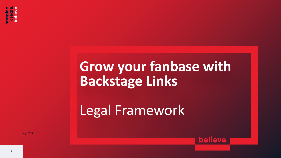

# **Grow your fanbase with Backstage Links**

**believe** 

Legal Framework

*July 2021*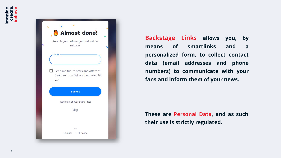| Almost done!<br>Submit your info to get notified on<br>release:                         |  |
|-----------------------------------------------------------------------------------------|--|
| Email<br>Send me future news and offers of<br>Random from Believe. I am over 16<br>y.o. |  |
| <b>Submit</b>                                                                           |  |
| Read more about personal data                                                           |  |
| Skip                                                                                    |  |
|                                                                                         |  |

**Backstage Links allows you, by means of smartlinks and a personalized form, to collect contact data (email addresses and phone numbers) to communicate with your fans and inform them of your news.**

**These are Personal Data, and as such their use is strictly regulated.**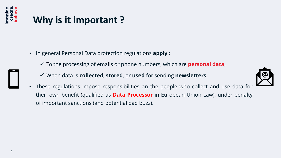

## **Why is it important ?**

- In general Personal Data protection regulations **apply :**
	- ✓ To the processing of emails or phone numbers, which are **personal data**,
	- ✓ When data is **collected**, **stored**, or **used** for sending **newsletters.**
	- These regulations impose responsibilities on the people who collect and use data for their own benefit (qualified as **Data Processor** in European Union Law), under penalty of important sanctions (and potential bad buzz).

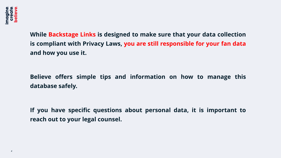**While Backstage Links is designed to make sure that your data collection is compliant with Privacy Laws, you are still responsible for your fan data and how you use it.**

**Believe offers simple tips and information on how to manage this database safely.**

**If you have specific questions about personal data, it is important to reach out to your legal counsel.**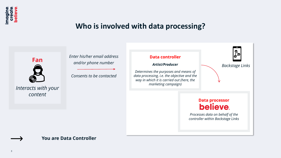

### **Who is involved with data processing?**



*Interacts with your content*

*Enter his/her email address and/or phone number*

*Consents to be contacted*



#### **You are Data Controller**

*5*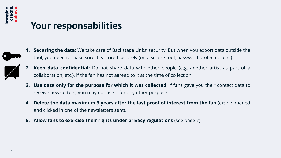

### **Your responsabilities**



**1. Securing the data:** We take care of Backstage Links' security. But when you export data outside the tool, you need to make sure it is stored securely (on a secure tool, password protected, etc.).



- **2. Keep data confidential:** Do not share data with other people (e.g. another artist as part of a collaboration, etc.), if the fan has not agreed to it at the time of collection.
- **3. Use data only for the purpose for which it was collected:** if fans gave you their contact data to receive newsletters, you may not use it for any other purpose.
- **4. Delete the data maximum 3 years after the last proof of interest from the fan** (ex: he opened and clicked in one of the newsletters sent).
- **5. Allow fans to exercise their rights under privacy regulations** (see page 7).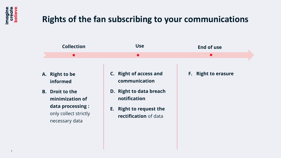

### **Rights of the fan subscribing to your communications**

|           | <b>Collection</b>                                            | <b>Use</b>                                                 | <b>End of use</b>          |
|-----------|--------------------------------------------------------------|------------------------------------------------------------|----------------------------|
|           | $\bullet$                                                    | $\bullet$                                                  | $\bullet$                  |
|           | A. Right to be<br>informed                                   | C. Right of access and<br>communication                    | <b>F.</b> Right to erasure |
| <b>B.</b> | <b>Droit to the</b><br>minimization of                       | D. Right to data breach<br>notification                    |                            |
|           | data processing :<br>only collect strictly<br>necessary data | <b>Right to request the</b><br>E.<br>rectification of data |                            |
|           |                                                              |                                                            |                            |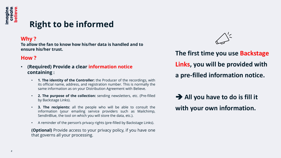

### **Right to be informed**

### **Why ?**

**To allow the fan to know how his/her data is handled and to ensure his/her trust.** 

### **How ?**

- **(Required) Provide a clear information notice containing :**
	- **1. The identity of the Controller:** the Producer of the recordings, with its official name, address, and registration number. This is normally the same information as on your Distribution Agreement with Believe.
	- **2. The purpose of the collection:** sending newsletters, etc. (Pre-filled by Backstage Links).
	- **3. The recipients:** all the people who will be able to consult the information (your emailing service providers such as Mailchimp, SendInBlue, the tool on which you will store the data, etc.).
	- A reminder of the person's privacy rights (pre-filled by Backstage Links).

**(Optional)** Provide access to your privacy policy, if you have one that governs all your processing.

**The first time you use Backstage Links, you will be provided with a pre-filled information notice.**

➔ **All you have to do is fill it with your own information.**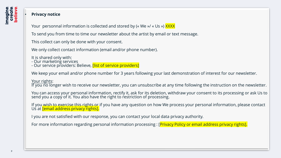

#### • **Privacy notice**

Your personnal information is collected and stored by (« We »/ « Us ») XXXX

To send you from time to time our newsletter about the artist by email or text message.

This collect can only be done with your consent.

We only collect contact information (email and/or phone number).

It is shared only with:

- Our marketing services

- Our service providers: Believe, <mark>[list of service providers]</mark>

We keep your email and/or phone number for 3 years following your last demonstration of interest for our newsletter.

Your rights:

If you no longer wish to receive our newsletter, you can unsubscribe at any time following the instruction on the newsletter.

You can access your personal information, rectify it, ask for its deletion, withdraw your consent to its processing or ask Us to send you a copy of it. You also have the right to restriction of processing.

If you wish to exercise this rights or if you have any question on how We process your personal information, please contact Us at **[email address privacy rights].** 

I you are not satisfied with our response, you can contact your local data privacy authority.

For more information regarding personal information processing : [*Privacy Policy or email address privacy rights*].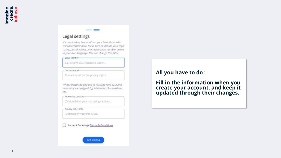#### Legal settings

It's required by law to inform your fans about who will collect their data. Make sure to include your legal name, postal adress, and registration number below. in your own language. You can change this later.

#### - Legal identity-

E.g. Believe SAS, registered under...

Contact email-

Contact email for fan privacy rights

What services do you use to manage fans data and marketing campaigns? E.g. Mailchimp, Spreadsheet, etc.

Marketing services

(Optional) List your marketing services...

Privacy policy URL

(Optional) Privacy Policy URL

I accept Backstage Terms & Conditions



### **All you have to do :**

**Fill in the information when you create your account, and keep it updated through their changes.**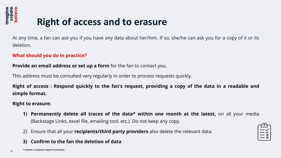

*11*

## **Right of access and to erasure**

At any time, a fan can ask you if you have any data about her/him. If so, she/he can ask you for a copy of it or its deletion.

### **What should you do in practice?**

**Provide an email address or set up a form** for the fan to contact you.

This address must be consulted very regularly in order to process requests quickly.

Right of access: Respond quickly to the fan's request, providing a copy of the data in a readable and **simple format.**

#### **Right to erasure:**

- **1) Permanently delete all traces of the data\* within one month at the latest,** on all your media (Backstage Links, excel file, emailing tool, etc.). Do not keep any copy.
- 2) Ensure that all your **recipients/third party providers** also delete the relevant data.

### **3) Confirm to the fan the deletion of data**

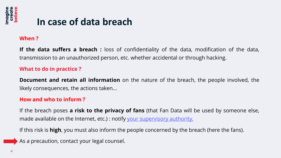

### **In case of data breach**

### **When ?**

**If the data suffers a breach :** loss of confidentiality of the data, modification of the data, transmission to an unauthorized person, etc. whether accidental or through hacking.

### **What to do in practice ?**

**Document and retain all information** on the nature of the breach, the people involved, the likely consequences, the actions taken...

### **How and who to inform ?**

If the breach poses **a risk to the privacy of fans** (that Fan Data will be used by someone else, made available on the Internet, etc.) : notify your [supervisory](https://pdpecho.com/the-list/) authority.

If this risk is **high**, you must also inform the people concerned by the breach (here the fans).

As a precaution, contact your legal counsel.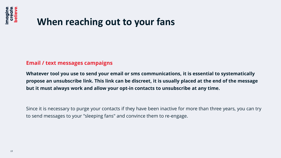

### **When reaching out to your fans**

### **Email / text messages campaigns**

**Whatever tool you use to send your email or sms communications, it is essential to systematically propose an unsubscribe link. This link can be discreet, it is usually placed at the end of the message but it must always work and allow your opt-in contacts to unsubscribe at any time.**

Since it is necessary to purge your contacts if they have been inactive for more than three years, you can try to send messages to your "sleeping fans" and convince them to re-engage.